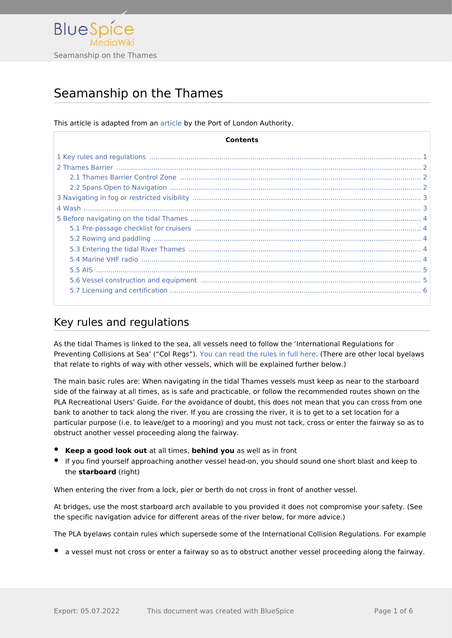

# Seamanship on the Thames

This article is adapted from an [article](https://boatingonthethames.co.uk/sailing-tidal-boating-on-the-thames-port-of-london-authority/) by the Port of London Authority.

| Contents |  |
|----------|--|
|          |  |
|          |  |
|          |  |
|          |  |
|          |  |
|          |  |
|          |  |
|          |  |
|          |  |
|          |  |
|          |  |
|          |  |
|          |  |
|          |  |

## <span id="page-0-0"></span>Key rules and regulations

As the tidal Thames is linked to the sea, all vessels need to follow the 'International Regulations for Preventing Collisions at Sea' ("Col Regs"). [You can read the rules in full here](https://assets.publishing.service.gov.uk/government/uploads/system/uploads/attachment_data/file/281965/msn1781.pdf). (There are other local byelaws that relate to rights of way with other vessels, which will be explained further below.)

The main basic rules are: When navigating in the tidal Thames vessels must keep as near to the starboard side of the fairway at all times, as is safe and practicable, or follow the recommended routes shown on the PLA Recreational Users' Guide. For the avoidance of doubt, this does not mean that you can cross from one bank to another to tack along the river. If you are crossing the river, it is to get to a set location for a particular purpose (i.e. to leave/get to a mooring) and you must not tack, cross or enter the fairway so as to obstruct another vessel proceeding along the fairway.

- **Keep a good look out** at all times, **behind you** as well as in front
- If you find yourself approaching another vessel head-on, you should sound one short blast and keep to the **starboard** (right)

When entering the river from a lock, pier or berth do not cross in front of another vessel.

At bridges, use the most starboard arch available to you provided it does not compromise your safety. (See the specific navigation advice for different areas of the river below, for more advice.)

The PLA byelaws contain rules which supersede some of the International Collision Regulations. For example

a vessel must not cross or enter a fairway so as to obstruct another vessel proceeding along the fairway.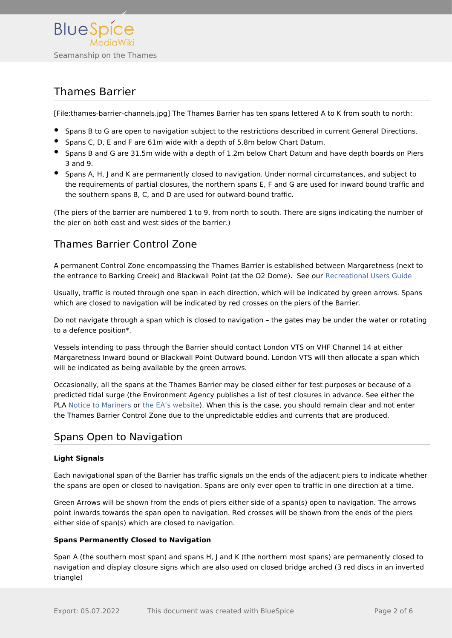

## <span id="page-1-0"></span>Thames Barrier

[File:thames-barrier-channels.jpg] The Thames Barrier has ten spans lettered A to K from south to north:

- **Spans B to G are open to navigation subject to the restrictions described in current General Directions.**
- **Shans C, D, E and F are 61m wide with a depth of 5.8m below Chart Datum.**
- **Spans B and G are 31.5m wide with a depth of 1.2m below Chart Datum and have depth boards on Piers** 3 and 9.
- Spans A, H, J and K are permanently closed to navigation. Under normal circumstances, and subject to the requirements of partial closures, the northern spans E, F and G are used for inward bound traffic and the southern spans B, C, and D are used for outward-bound traffic.

(The piers of the barrier are numbered 1 to 9, from north to south. There are signs indicating the number of the pier on both east and west sides of the barrier.)

### <span id="page-1-1"></span>Thames Barrier Control Zone

A permanent Control Zone encompassing the Thames Barrier is established between Margaretness (next to the entrance to Barking Creek) and Blackwall Point (at the O2 Dome). See our [Recreational Users Guide](https://boatingonthethames.co.uk/recreational-users-guide-boating-on-the-thames/)

Usually, traffic is routed through one span in each direction, which will be indicated by green arrows. Spans which are closed to navigation will be indicated by red crosses on the piers of the Barrier.

Do not navigate through a span which is closed to navigation – the gates may be under the water or rotating to a defence position\*.

Vessels intending to pass through the Barrier should contact London VTS on VHF Channel 14 at either Margaretness Inward bound or Blackwall Point Outward bound. London VTS will then allocate a span which will be indicated as being available by the green arrows.

Occasionally, all the spans at the Thames Barrier may be closed either for test purposes or because of a predicted tidal surge (the Environment Agency publishes a list of test closures in advance. See either the PLA [Notice to Mariners](http://www.pla.co.uk/Safety/Regulations-and-Guidance/Notices-to-Mariners/Notices-to-Mariners?__hstc=57397045.cf6009e52a3b1d48911ad174a4227bb2.1587979801018.1603110204341.1603112050615.86&__hssc=57397045.8.1603112050615&__hsfp=2124156858) or [the EA's website\)](https://www.gov.uk/guidance/the-thames-barrier). When this is the case, you should remain clear and not enter the Thames Barrier Control Zone due to the unpredictable eddies and currents that are produced.

### <span id="page-1-2"></span>Spans Open to Navigation

#### **Light Signals**

Each navigational span of the Barrier has traffic signals on the ends of the adjacent piers to indicate whether the spans are open or closed to navigation. Spans are only ever open to traffic in one direction at a time.

Green Arrows will be shown from the ends of piers either side of a span(s) open to navigation. The arrows point inwards towards the span open to navigation. Red crosses will be shown from the ends of the piers either side of span(s) which are closed to navigation.

#### **Spans Permanently Closed to Navigation**

Span A (the southern most span) and spans H, J and K (the northern most spans) are permanently closed to navigation and display closure signs which are also used on closed bridge arched (3 red discs in an inverted triangle)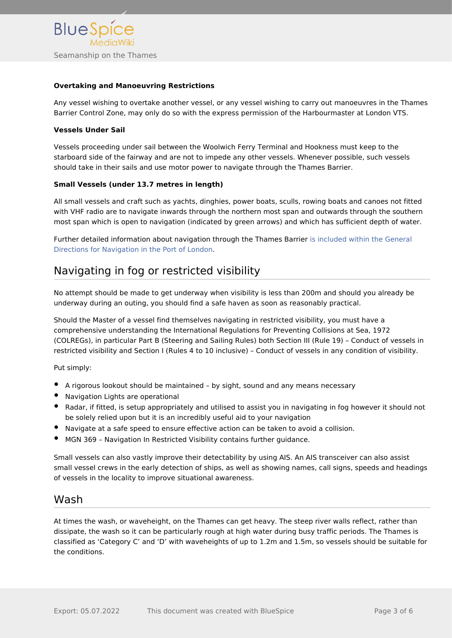#### **Overtaking and Manoeuvring Restrictions**

Any vessel wishing to overtake another vessel, or any vessel wishing to carry out manoeuvres in the Thames Barrier Control Zone, may only do so with the express permission of the Harbourmaster at London VTS.

#### **Vessels Under Sail**

Vessels proceeding under sail between the Woolwich Ferry Terminal and Hookness must keep to the starboard side of the fairway and are not to impede any other vessels. Whenever possible, such vessels should take in their sails and use motor power to navigate through the Thames Barrier.

#### **Small Vessels (under 13.7 metres in length)**

All small vessels and craft such as yachts, dinghies, power boats, sculls, rowing boats and canoes not fitted with VHF radio are to navigate inwards through the northern most span and outwards through the southern most span which is open to navigation (indicated by green arrows) and which has sufficient depth of water.

Further detailed information about navigation through the Thames Barrier [is included within the General](https://boatingonthethames.co.uk/general-directions-for-navigation-in-the-port-of-london-2016/)  [Directions for Navigation in the Port of London](https://boatingonthethames.co.uk/general-directions-for-navigation-in-the-port-of-london-2016/).

## <span id="page-2-0"></span>Navigating in fog or restricted visibility

No attempt should be made to get underway when visibility is less than 200m and should you already be underway during an outing, you should find a safe haven as soon as reasonably practical.

Should the Master of a vessel find themselves navigating in restricted visibility, you must have a comprehensive understanding the International Regulations for Preventing Collisions at Sea, 1972 (COLREGs), in particular Part B (Steering and Sailing Rules) both Section III (Rule 19) – Conduct of vessels in restricted visibility and Section I (Rules 4 to 10 inclusive) – Conduct of vessels in any condition of visibility.

Put simply:

- A rigorous lookout should be maintained by sight, sound and any means necessary
- Navigation Lights are operational
- Radar, if fitted, is setup appropriately and utilised to assist you in navigating in fog however it should not be solely relied upon but it is an incredibly useful aid to your navigation
- Navigate at a safe speed to ensure effective action can be taken to avoid a collision.
- MGN 369 Navigation In Restricted Visibility contains further guidance.

Small vessels can also vastly improve their detectability by using AIS. An AIS transceiver can also assist small vessel crews in the early detection of ships, as well as showing names, call signs, speeds and headings of vessels in the locality to improve situational awareness.

#### <span id="page-2-1"></span>Wash

At times the wash, or waveheight, on the Thames can get heavy. The steep river walls reflect, rather than dissipate, the wash so it can be particularly rough at high water during busy traffic periods. The Thames is classified as 'Category C' and 'D' with waveheights of up to 1.2m and 1.5m, so vessels should be suitable for the conditions.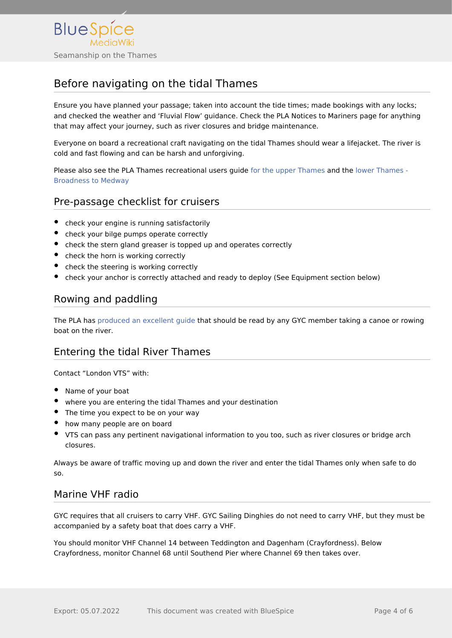

## <span id="page-3-0"></span>Before navigating on the tidal Thames

Ensure you have planned your passage; taken into account the tide times; made bookings with any locks; and checked the weather and 'Fluvial Flow' guidance. Check the PLA Notices to Mariners page for anything that may affect your journey, such as river closures and bridge maintenance.

Everyone on board a recreational craft navigating on the tidal Thames should wear a lifejacket. The river is cold and fast flowing and can be harsh and unforgiving.

Please also see the PLA Thames recreational users guide [for the upper Thames](https://boatingonthethames.co.uk/wp-content/uploads/2020/10/RUG_Inner.pdf) and the [lower Thames -](https://boatingonthethames.co.uk/wp-content/uploads/2020/10/RUG_Outer.pdf)  [Broadness to Medway](https://boatingonthethames.co.uk/wp-content/uploads/2020/10/RUG_Outer.pdf)

### <span id="page-3-1"></span>Pre-passage checklist for cruisers

- check your engine is running satisfactorily
- check your bilge pumps operate correctly
- check the stern gland greaser is topped up and operates correctly
- check the horn is working correctly
- check the steering is working correctly
- check your anchor is correctly attached and ready to deploy (See Equipment section below)

## <span id="page-3-2"></span>Rowing and paddling

The PLA has [produced an excellent guide](https://boatingonthethames.co.uk/wp-content/uploads/2020/10/Tideway-Code_Digital-web.pdf) that should be read by any GYC member taking a canoe or rowing boat on the river.

### <span id="page-3-3"></span>Entering the tidal River Thames

Contact "London VTS" with:

- Name of your boat
- where you are entering the tidal Thames and your destination
- The time you expect to be on your way
- how many people are on board
- VTS can pass any pertinent navigational information to you too, such as river closures or bridge arch closures.

Always be aware of traffic moving up and down the river and enter the tidal Thames only when safe to do so.

### <span id="page-3-4"></span>Marine VHF radio

GYC requires that all cruisers to carry VHF. GYC Sailing Dinghies do not need to carry VHF, but they must be accompanied by a safety boat that does carry a VHF.

You should monitor VHF Channel 14 between Teddington and Dagenham (Crayfordness). Below Crayfordness, monitor Channel 68 until Southend Pier where Channel 69 then takes over.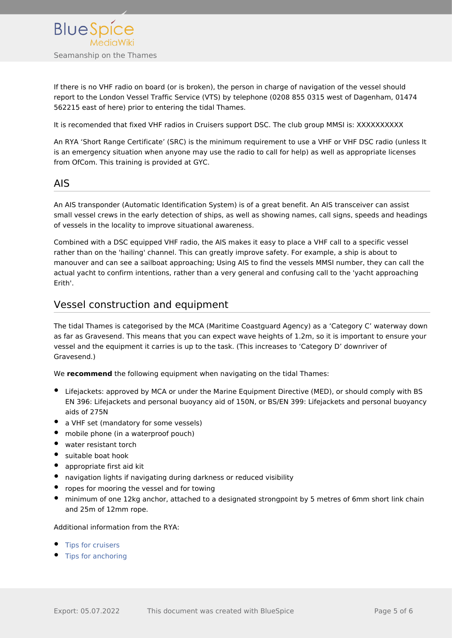

If there is no VHF radio on board (or is broken), the person in charge of navigation of the vessel should report to the London Vessel Traffic Service (VTS) by telephone (0208 855 0315 west of Dagenham, 01474 562215 east of here) prior to entering the tidal Thames.

It is recomended that fixed VHF radios in Cruisers support DSC. The club group MMSI is: XXXXXXXXXX

An RYA 'Short Range Certificate' (SRC) is the minimum requirement to use a VHF or VHF DSC radio (unless It is an emergency situation when anyone may use the radio to call for help) as well as appropriate licenses from OfCom. This training is provided at GYC.

#### <span id="page-4-0"></span>AIS

An AIS transponder (Automatic Identification System) is of a great benefit. An AIS transceiver can assist small vessel crews in the early detection of ships, as well as showing names, call signs, speeds and headings of vessels in the locality to improve situational awareness.

Combined with a DSC equipped VHF radio, the AIS makes it easy to place a VHF call to a specific vessel rather than on the 'hailing' channel. This can greatly improve safety. For example, a ship is about to manouver and can see a sailboat approaching; Using AIS to find the vessels MMSI number, they can call the actual yacht to confirm intentions, rather than a very general and confusing call to the 'yacht approaching Erith'.

#### <span id="page-4-1"></span>Vessel construction and equipment

The tidal Thames is categorised by the MCA (Maritime Coastguard Agency) as a 'Category C' waterway down as far as Gravesend. This means that you can expect wave heights of 1.2m, so it is important to ensure your vessel and the equipment it carries is up to the task. (This increases to 'Category D' downriver of Gravesend.)

We **recommend** the following equipment when navigating on the tidal Thames:

- Lifejackets: approved by MCA or under the Marine Equipment Directive (MED), or should comply with BS EN 396: Lifejackets and personal buoyancy aid of 150N, or BS/EN 399: Lifejackets and personal buoyancy aids of 275N
- a VHF set (mandatory for some vessels)
- mobile phone (in a waterproof pouch)
- water resistant torch
- suitable boat hook
- appropriate first aid kit
- navigation lights if navigating during darkness or reduced visibility
- ropes for mooring the vessel and for towing
- minimum of one 12kg anchor, attached to a designated strongpoint by 5 metres of 6mm short link chain and 25m of 12mm rope.

#### Additional information from the RYA:

- [Tips for cruisers](https://www.rya.org.uk/knowledge-advice/cruising-tips/Pages/hub.aspx)
- [Tips for anchoring](https://www.rya.org.uk/knowledge-advice/cruising-tips/hints-tips/Pages/watch-out-when-at-anchor.aspx)